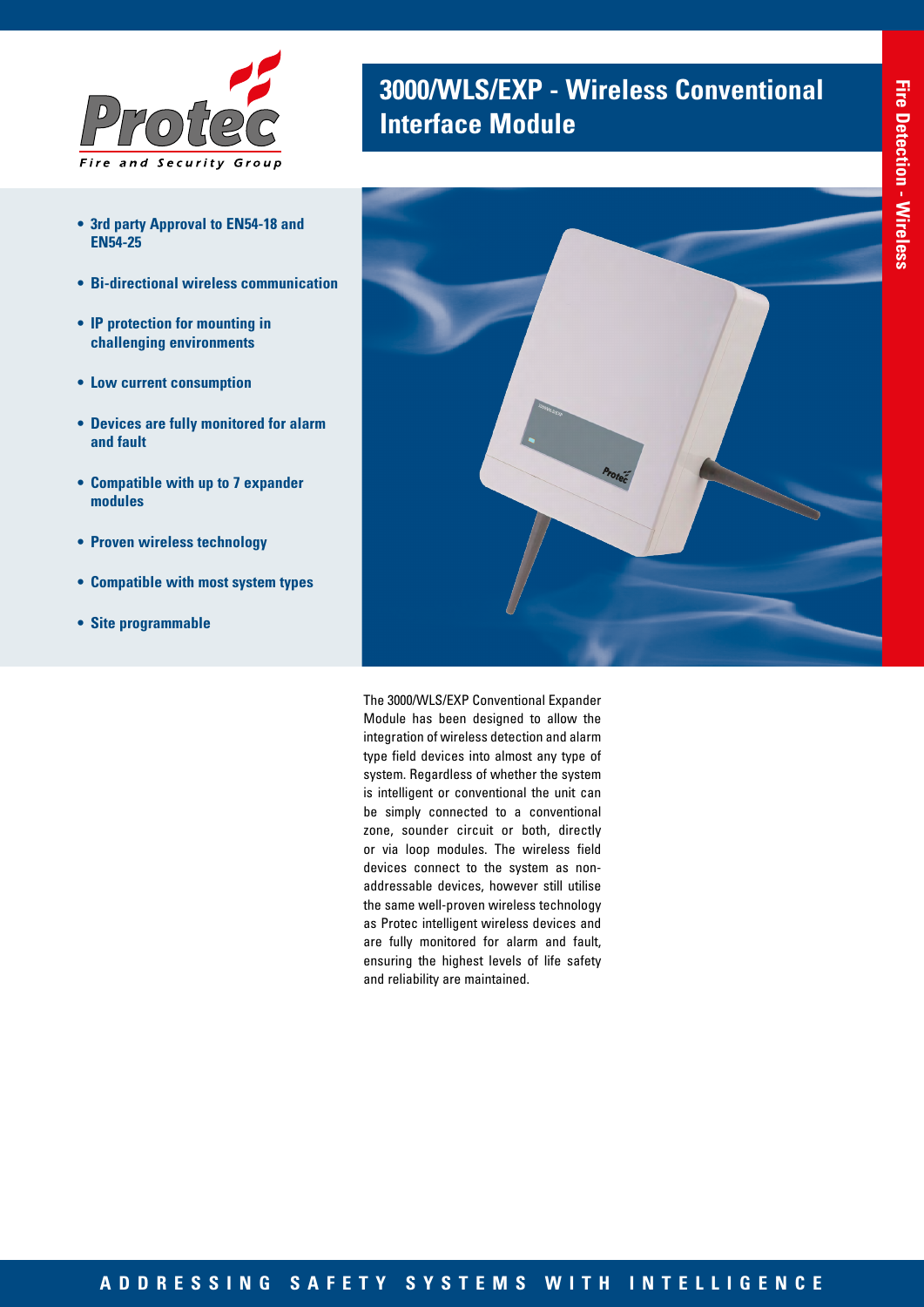

- **• 3rd party Approval to EN54-18 and EN54-25**
- **• Bi-directional wireless communication**
- **• IP protection for mounting in challenging environments**
- **• Low current consumption**
- **• Devices are fully monitored for alarm and fault**
- **• Compatible with up to 7 expander modules**
- **• Proven wireless technology**
- **• Compatible with most system types**
- **• Site programmable**

## **3000/WLS/EXP - Wireless Conventional Interface Module**



The 3000/WLS/EXP Conventional Expander Module has been designed to allow the integration of wireless detection and alarm type field devices into almost any type of system. Regardless of whether the system is intelligent or conventional the unit can be simply connected to a conventional zone, sounder circuit or both, directly or via loop modules. The wireless field devices connect to the system as nonaddressable devices, however still utilise the same well-proven wireless technology as Protec intelligent wireless devices and are fully monitored for alarm and fault, ensuring the highest levels of life safety and reliability are maintained.